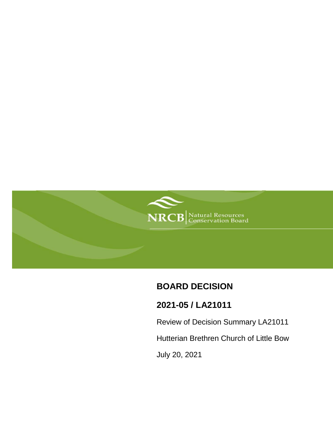

# **BOARD DECISION**

# **2021-05 / LA21011**

Review of Decision Summary LA21011

Hutterian Brethren Church of Little Bow

July 20, 2021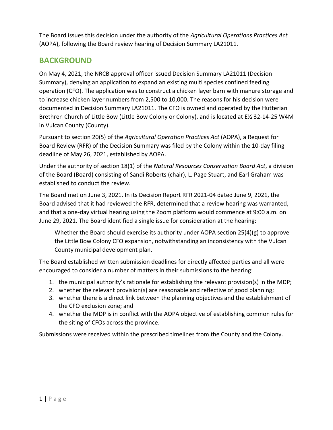The Board issues this decision under the authority of the *Agricultural Operations Practices Act* (AOPA), following the Board review hearing of Decision Summary LA21011.

## **BACKGROUND**

On May 4, 2021, the NRCB approval officer issued Decision Summary LA21011 (Decision Summary), denying an application to expand an existing multi species confined feeding operation (CFO). The application was to construct a chicken layer barn with manure storage and to increase chicken layer numbers from 2,500 to 10,000. The reasons for his decision were documented in Decision Summary LA21011. The CFO is owned and operated by the Hutterian Brethren Church of Little Bow (Little Bow Colony or Colony), and is located at E½ 32-14-25 W4M in Vulcan County (County).

Pursuant to section 20(5) of the *Agricultural Operation Practices Act* (AOPA), a Request for Board Review (RFR) of the Decision Summary was filed by the Colony within the 10-day filing deadline of May 26, 2021, established by AOPA.

Under the authority of section 18(1) of the *Natural Resources Conservation Board Act*, a division of the Board (Board) consisting of Sandi Roberts (chair), L. Page Stuart, and Earl Graham was established to conduct the review.

The Board met on June 3, 2021. In its Decision Report RFR 2021-04 dated June 9, 2021, the Board advised that it had reviewed the RFR, determined that a review hearing was warranted, and that a one-day virtual hearing using the Zoom platform would commence at 9:00 a.m. on June 29, 2021. The Board identified a single issue for consideration at the hearing:

Whether the Board should exercise its authority under AOPA section 25(4)(g) to approve the Little Bow Colony CFO expansion, notwithstanding an inconsistency with the Vulcan County municipal development plan.

The Board established written submission deadlines for directly affected parties and all were encouraged to consider a number of matters in their submissions to the hearing:

- 1. the municipal authority's rationale for establishing the relevant provision(s) in the MDP;
- 2. whether the relevant provision(s) are reasonable and reflective of good planning;
- 3. whether there is a direct link between the planning objectives and the establishment of the CFO exclusion zone; and
- 4. whether the MDP is in conflict with the AOPA objective of establishing common rules for the siting of CFOs across the province.

Submissions were received within the prescribed timelines from the County and the Colony.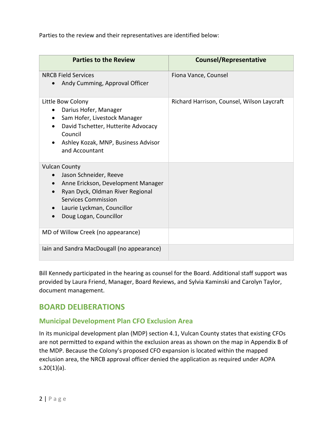Parties to the review and their representatives are identified below:

| <b>Parties to the Review</b>                                                                                                                                                                                         | <b>Counsel/Representative</b>              |
|----------------------------------------------------------------------------------------------------------------------------------------------------------------------------------------------------------------------|--------------------------------------------|
| <b>NRCB Field Services</b><br>Andy Cumming, Approval Officer<br>$\bullet$                                                                                                                                            | Fiona Vance, Counsel                       |
| Little Bow Colony<br>Darius Hofer, Manager<br>$\bullet$<br>Sam Hofer, Livestock Manager<br>David Tschetter, Hutterite Advocacy<br>Council<br>Ashley Kozak, MNP, Business Advisor<br>and Accountant                   | Richard Harrison, Counsel, Wilson Laycraft |
| <b>Vulcan County</b><br>Jason Schneider, Reeve<br>$\bullet$<br>Anne Erickson, Development Manager<br>Ryan Dyck, Oldman River Regional<br>Services Commission<br>Laurie Lyckman, Councillor<br>Doug Logan, Councillor |                                            |
| MD of Willow Creek (no appearance)                                                                                                                                                                                   |                                            |
| lain and Sandra MacDougall (no appearance)                                                                                                                                                                           |                                            |

Bill Kennedy participated in the hearing as counsel for the Board. Additional staff support was provided by Laura Friend, Manager, Board Reviews, and Sylvia Kaminski and Carolyn Taylor, document management.

## **BOARD DELIBERATIONS**

### **Municipal Development Plan CFO Exclusion Area**

In its municipal development plan (MDP) section 4.1, Vulcan County states that existing CFOs are not permitted to expand within the exclusion areas as shown on the map in Appendix B of the MDP. Because the Colony's proposed CFO expansion is located within the mapped exclusion area, the NRCB approval officer denied the application as required under AOPA s.20(1)(a).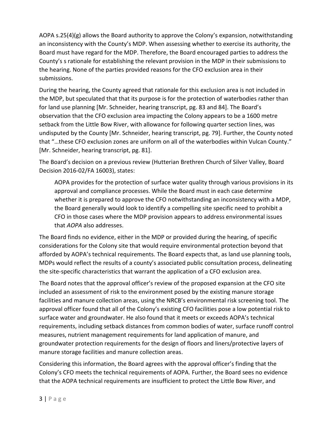AOPA s.25(4)(g) allows the Board authority to approve the Colony's expansion, notwithstanding an inconsistency with the County's MDP. When assessing whether to exercise its authority, the Board must have regard for the MDP. Therefore, the Board encouraged parties to address the County's s rationale for establishing the relevant provision in the MDP in their submissions to the hearing. None of the parties provided reasons for the CFO exclusion area in their submissions.

During the hearing, the County agreed that rationale for this exclusion area is not included in the MDP, but speculated that that its purpose is for the protection of waterbodies rather than for land use planning [Mr. Schneider, hearing transcript, pg. 83 and 84]. The Board's observation that the CFO exclusion area impacting the Colony appears to be a 1600 metre setback from the Little Bow River, with allowance for following quarter section lines, was undisputed by the County [Mr. Schneider, hearing transcript, pg. 79]. Further, the County noted that "…these CFO exclusion zones are uniform on all of the waterbodies within Vulcan County." [Mr. Schneider, hearing transcript, pg. 81].

The Board's decision on a previous review (Hutterian Brethren Church of Silver Valley, Board Decision 2016-02/FA 16003), states:

AOPA provides for the protection of surface water quality through various provisions in its approval and compliance processes. While the Board must in each case determine whether it is prepared to approve the CFO notwithstanding an inconsistency with a MDP, the Board generally would look to identify a compelling site specific need to prohibit a CFO in those cases where the MDP provision appears to address environmental issues that *AOPA* also addresses.

The Board finds no evidence, either in the MDP or provided during the hearing, of specific considerations for the Colony site that would require environmental protection beyond that afforded by AOPA's technical requirements. The Board expects that, as land use planning tools, MDPs would reflect the results of a county's associated public consultation process, delineating the site-specific characteristics that warrant the application of a CFO exclusion area.

The Board notes that the approval officer's review of the proposed expansion at the CFO site included an assessment of risk to the environment posed by the existing manure storage facilities and manure collection areas, using the NRCB's environmental risk screening tool. The approval officer found that all of the Colony's existing CFO facilities pose a low potential risk to surface water and groundwater. He also found that it meets or exceeds AOPA's technical requirements, including setback distances from common bodies of water, surface runoff control measures, nutrient management requirements for land application of manure, and groundwater protection requirements for the design of floors and liners/protective layers of manure storage facilities and manure collection areas.

Considering this information, the Board agrees with the approval officer's finding that the Colony's CFO meets the technical requirements of AOPA. Further, the Board sees no evidence that the AOPA technical requirements are insufficient to protect the Little Bow River, and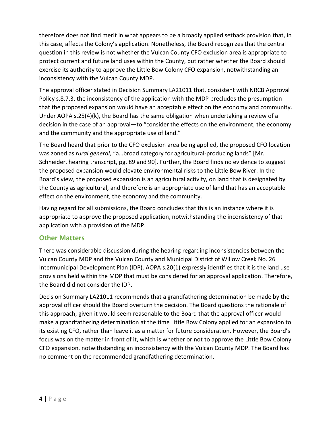therefore does not find merit in what appears to be a broadly applied setback provision that, in this case, affects the Colony's application. Nonetheless, the Board recognizes that the central question in this review is not whether the Vulcan County CFO exclusion area is appropriate to protect current and future land uses within the County, but rather whether the Board should exercise its authority to approve the Little Bow Colony CFO expansion, notwithstanding an inconsistency with the Vulcan County MDP.

The approval officer stated in Decision Summary LA21011 that, consistent with NRCB Approval Policy s.8.7.3, the inconsistency of the application with the MDP precludes the presumption that the proposed expansion would have an acceptable effect on the economy and community. Under AOPA s.25(4)(k), the Board has the same obligation when undertaking a review of a decision in the case of an approval—to "consider the effects on the environment, the economy and the community and the appropriate use of land."

The Board heard that prior to the CFO exclusion area being applied, the proposed CFO location was zoned as *rural general,* "a…broad category for agricultural-producing lands" [Mr. Schneider, hearing transcript, pg. 89 and 90]. Further, the Board finds no evidence to suggest the proposed expansion would elevate environmental risks to the Little Bow River. In the Board's view, the proposed expansion is an agricultural activity, on land that is designated by the County as agricultural, and therefore is an appropriate use of land that has an acceptable effect on the environment, the economy and the community.

Having regard for all submissions, the Board concludes that this is an instance where it is appropriate to approve the proposed application, notwithstanding the inconsistency of that application with a provision of the MDP.

### **Other Matters**

There was considerable discussion during the hearing regarding inconsistencies between the Vulcan County MDP and the Vulcan County and Municipal District of Willow Creek No. 26 Intermunicipal Development Plan (IDP). AOPA s.20(1) expressly identifies that it is the land use provisions held within the MDP that must be considered for an approval application. Therefore, the Board did not consider the IDP.

Decision Summary LA21011 recommends that a grandfathering determination be made by the approval officer should the Board overturn the decision. The Board questions the rationale of this approach, given it would seem reasonable to the Board that the approval officer would make a grandfathering determination at the time Little Bow Colony applied for an expansion to its existing CFO, rather than leave it as a matter for future consideration. However, the Board's focus was on the matter in front of it, which is whether or not to approve the Little Bow Colony CFO expansion, notwithstanding an inconsistency with the Vulcan County MDP. The Board has no comment on the recommended grandfathering determination.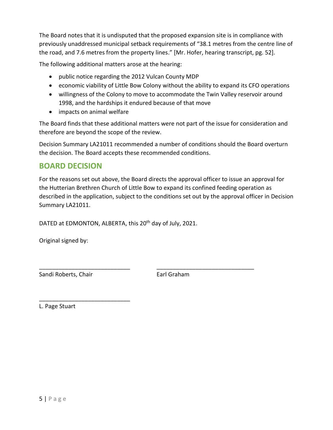The Board notes that it is undisputed that the proposed expansion site is in compliance with previously unaddressed municipal setback requirements of "38.1 metres from the centre line of the road, and 7.6 metres from the property lines." [Mr. Hofer, hearing transcript, pg. 52].

The following additional matters arose at the hearing:

- public notice regarding the 2012 Vulcan County MDP
- economic viability of Little Bow Colony without the ability to expand its CFO operations
- willingness of the Colony to move to accommodate the Twin Valley reservoir around 1998, and the hardships it endured because of that move
- impacts on animal welfare

The Board finds that these additional matters were not part of the issue for consideration and therefore are beyond the scope of the review.

Decision Summary LA21011 recommended a number of conditions should the Board overturn the decision. The Board accepts these recommended conditions.

### **BOARD DECISION**

For the reasons set out above, the Board directs the approval officer to issue an approval for the Hutterian Brethren Church of Little Bow to expand its confined feeding operation as described in the application, subject to the conditions set out by the approval officer in Decision Summary LA21011.

DATED at EDMONTON, ALBERTA, this 20<sup>th</sup> day of July, 2021.

Original signed by:

Sandi Roberts, Chair **Earl Graham** 

\_\_\_\_\_\_\_\_\_\_\_\_\_\_\_\_\_\_\_\_\_\_\_\_\_\_\_\_

\_\_\_\_\_\_\_\_\_\_\_\_\_\_\_\_\_\_\_\_\_\_\_\_\_\_\_\_ \_\_\_\_\_\_\_\_\_\_\_\_\_\_\_\_\_\_\_\_\_\_\_\_\_\_\_\_\_\_

L. Page Stuart